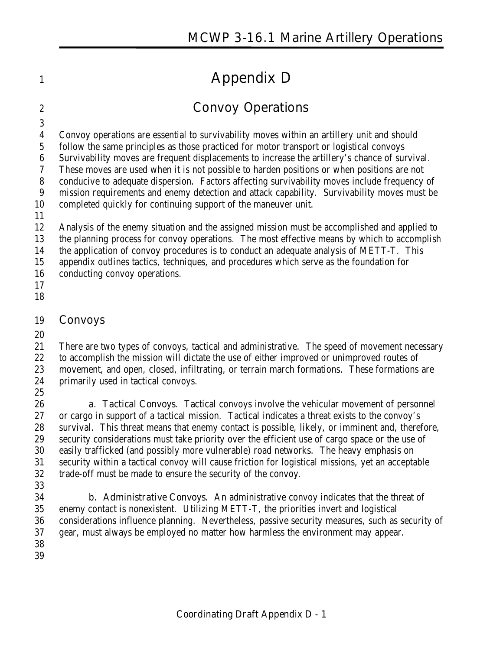# **Appendix D**

# **Convoy Operations**

Convoy operations are essential to survivability moves within an artillery unit and should

 follow the same principles as those practiced for motor transport or logistical convoys Survivability moves are frequent displacements to increase the artillery's chance of survival.

These moves are used when it is not possible to harden positions or when positions are not

conducive to adequate dispersion. Factors affecting survivability moves include frequency of

mission requirements and enemy detection and attack capability. Survivability moves must be

completed quickly for continuing support of the maneuver unit.

Analysis of the enemy situation and the assigned mission must be accomplished and applied to

the planning process for convoy operations. The most effective means by which to accomplish

the application of convoy procedures is to conduct an adequate analysis of METT-T. This

appendix outlines tactics, techniques, and procedures which serve as the foundation for

conducting convoy operations.

 

## **Convoys**

 There are two types of convoys, tactical and administrative. The speed of movement necessary 22 to accomplish the mission will dictate the use of either improved or unimproved routes of movement, and open, closed, infiltrating, or terrain march formations. These formations are primarily used in tactical convoys. 

 **a. Tactical Convoys**. Tactical convoys involve the vehicular movement of personnel or cargo in support of a tactical mission. Tactical indicates a threat exists to the convoy's survival. This threat means that enemy contact is possible, likely, or imminent and, therefore, security considerations must take priority over the efficient use of cargo space or the use of easily trafficked (and possibly more vulnerable) road networks. The heavy emphasis on security within a tactical convoy will cause friction for logistical missions, yet an acceptable trade-off must be made to ensure the security of the convoy.

 **b. Administrative Convoys**. An administrative convoy indicates that the threat of enemy contact is nonexistent. Utilizing METT-T, the priorities invert and logistical considerations influence planning. Nevertheless, passive security measures, such as security of gear, must always be employed no matter how harmless the environment may appear.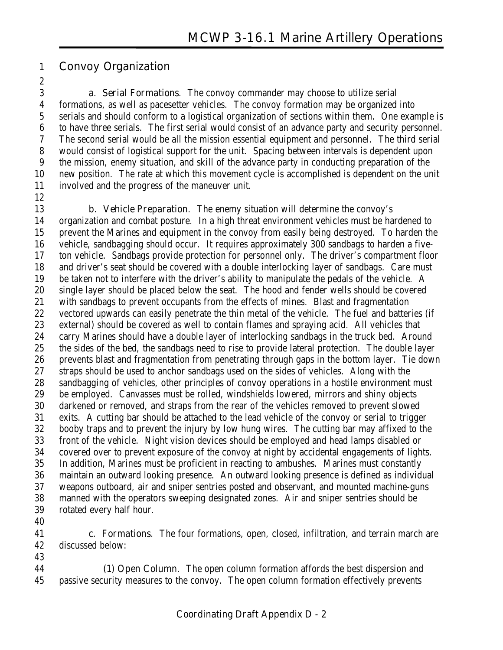#### **Convoy Organization**

 **a. Serial Formations**. The convoy commander may choose to utilize serial formations, as well as pacesetter vehicles. The convoy formation may be organized into serials and should conform to a logistical organization of sections within them. One example is to have three serials. The first serial would consist of an advance party and security personnel. The second serial would be all the mission essential equipment and personnel. The third serial would consist of logistical support for the unit. Spacing between intervals is dependent upon the mission, enemy situation, and skill of the advance party in conducting preparation of the new position. The rate at which this movement cycle is accomplished is dependent on the unit involved and the progress of the maneuver unit.

 **b. Vehicle Preparation**. The enemy situation will determine the convoy's organization and combat posture. In a high threat environment vehicles must be hardened to prevent the Marines and equipment in the convoy from easily being destroyed. To harden the vehicle, sandbagging should occur. It requires approximately 300 sandbags to harden a five- ton vehicle. Sandbags provide protection for personnel only. The driver's compartment floor and driver's seat should be covered with a double interlocking layer of sandbags. Care must be taken not to interfere with the driver's ability to manipulate the pedals of the vehicle. A single layer should be placed below the seat. The hood and fender wells should be covered with sandbags to prevent occupants from the effects of mines. Blast and fragmentation vectored upwards can easily penetrate the thin metal of the vehicle. The fuel and batteries (if external) should be covered as well to contain flames and spraying acid. All vehicles that carry Marines should have a double layer of interlocking sandbags in the truck bed. Around the sides of the bed, the sandbags need to rise to provide lateral protection. The double layer prevents blast and fragmentation from penetrating through gaps in the bottom layer. Tie down straps should be used to anchor sandbags used on the sides of vehicles. Along with the sandbagging of vehicles, other principles of convoy operations in a hostile environment must be employed. Canvasses must be rolled, windshields lowered, mirrors and shiny objects darkened or removed, and straps from the rear of the vehicles removed to prevent slowed exits. A cutting bar should be attached to the lead vehicle of the convoy or serial to trigger booby traps and to prevent the injury by low hung wires. The cutting bar may affixed to the front of the vehicle. Night vision devices should be employed and head lamps disabled or covered over to prevent exposure of the convoy at night by accidental engagements of lights. In addition, Marines must be proficient in reacting to ambushes. Marines must constantly maintain an outward looking presence. An outward looking presence is defined as individual weapons outboard, air and sniper sentries posted and observant, and mounted machine-guns manned with the operators sweeping designated zones. Air and sniper sentries should be rotated every half hour.

 **c. Formations**. The four formations, open, closed, infiltration, and terrain march are discussed below:

**(1) Open Column**. The open column formation affords the best dispersion and passive security measures to the convoy. The open column formation effectively prevents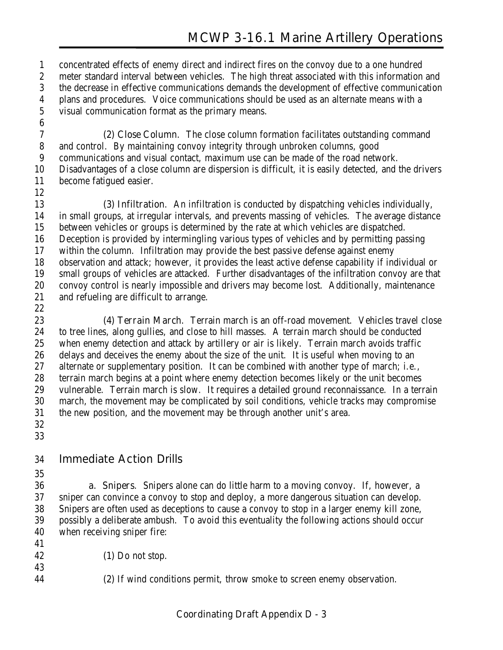concentrated effects of enemy direct and indirect fires on the convoy due to a one hundred meter standard interval between vehicles. The high threat associated with this information and the decrease in effective communications demands the development of effective communication plans and procedures. Voice communications should be used as an alternate means with a visual communication format as the primary means.

**(2) Close Column**. The close column formation facilitates outstanding command and control. By maintaining convoy integrity through unbroken columns, good communications and visual contact, maximum use can be made of the road network. Disadvantages of a close column are dispersion is difficult, it is easily detected, and the drivers become fatigued easier.

**(3) Infiltration**. An infiltration is conducted by dispatching vehicles individually, in small groups, at irregular intervals, and prevents massing of vehicles. The average distance between vehicles or groups is determined by the rate at which vehicles are dispatched. Deception is provided by intermingling various types of vehicles and by permitting passing within the column. Infiltration may provide the best passive defense against enemy observation and attack; however, it provides the least active defense capability if individual or small groups of vehicles are attacked. Further disadvantages of the infiltration convoy are that convoy control is nearly impossible and drivers may become lost. Additionally, maintenance and refueling are difficult to arrange. 

**(4) Terrain March**. Terrain march is an off-road movement. Vehicles travel close to tree lines, along gullies, and close to hill masses. A terrain march should be conducted when enemy detection and attack by artillery or air is likely. Terrain march avoids traffic delays and deceives the enemy about the size of the unit. It is useful when moving to an 27 alternate or supplementary position. It can be combined with another type of march; i.e., terrain march begins at a point where enemy detection becomes likely or the unit becomes vulnerable. Terrain march is slow. It requires a detailed ground reconnaissance. In a terrain march, the movement may be complicated by soil conditions, vehicle tracks may compromise the new position, and the movement may be through another unit's area. 

#### **Immediate Action Drills**

 **a. Snipers**. Snipers alone can do little harm to a moving convoy. If, however, a sniper can convince a convoy to stop and deploy, a more dangerous situation can develop. Snipers are often used as deceptions to cause a convoy to stop in a larger enemy kill zone, possibly a deliberate ambush. To avoid this eventuality the following actions should occur when receiving sniper fire:

- 
- **(1)** Do not stop.
- **(2)** If wind conditions permit, throw smoke to screen enemy observation.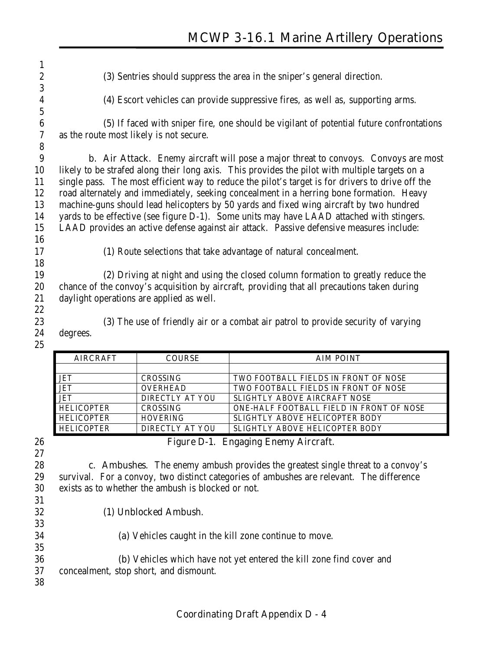**(3)** Sentries should suppress the area in the sniper's general direction. **(4)** Escort vehicles can provide suppressive fires, as well as, supporting arms. **(5)** If faced with sniper fire, one should be vigilant of potential future confrontations as the route most likely is not secure. **b. Air Attack**. Enemy aircraft will pose a major threat to convoys. Convoys are most likely to be strafed along their long axis. This provides the pilot with multiple targets on a single pass. The most efficient way to reduce the pilot's target is for drivers to drive off the road alternately and immediately, seeking concealment in a herring bone formation. Heavy machine-guns should lead helicopters by 50 yards and fixed wing aircraft by two hundred yards to be effective (see figure D-1). Some units may have LAAD attached with stingers. LAAD provides an active defense against air attack. Passive defensive measures include: **(1)** Route selections that take advantage of natural concealment. **(2)** Driving at night and using the closed column formation to greatly reduce the chance of the convoy's acquisition by aircraft, providing that all precautions taken during daylight operations are applied as well. **(3)** The use of friendly air or a combat air patrol to provide security of varying degrees. AIRCRAFT | COURSE | AIM POINT

| COURSE          | AIM POINT                                |
|-----------------|------------------------------------------|
|                 |                                          |
| <b>CROSSING</b> | TWO FOOTBALL FIELDS IN FRONT OF NOSE     |
| <b>OVERHEAD</b> | TWO FOOTBALL FIELDS IN FRONT OF NOSE     |
| DIRECTLY AT YOU | SLIGHTLY ABOVE AIRCRAFT NOSE             |
| <b>CROSSING</b> | ONE-HALF FOOTBALL FIELD IN FRONT OF NOSE |
| <b>HOVERING</b> | <b>SLIGHTLY ABOVE HELICOPTER BODY</b>    |
| DIRECTLY AT YOU | SLIGHTLY ABOVE HELICOPTER BODY           |
|                 |                                          |

#### **Figure D-1. Engaging Enemy Aircraft.**

 **c. Ambushes**. The enemy ambush provides the greatest single threat to a convoy's survival. For a convoy, two distinct categories of ambushes are relevant. The difference exists as to whether the ambush is blocked or not.

- **(1) Unblocked Ambush**.
- **(a)** Vehicles caught in the kill zone continue to move. **(b)** Vehicles which have not yet entered the kill zone find cover and concealment, stop short, and dismount.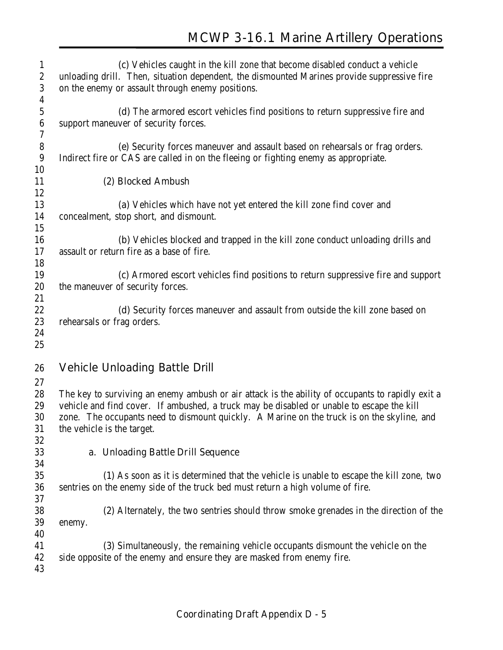| $\mathbf{1}$     | (c) Vehicles caught in the kill zone that become disabled conduct a vehicle                      |  |
|------------------|--------------------------------------------------------------------------------------------------|--|
| $\boldsymbol{2}$ | unloading drill. Then, situation dependent, the dismounted Marines provide suppressive fire      |  |
| $\sqrt{3}$       | on the enemy or assault through enemy positions.                                                 |  |
| $\boldsymbol{4}$ |                                                                                                  |  |
| $\bf 5$          | (d) The armored escort vehicles find positions to return suppressive fire and                    |  |
| $\boldsymbol{6}$ | support maneuver of security forces.                                                             |  |
| 7                |                                                                                                  |  |
| $\bf 8$          | (e) Security forces maneuver and assault based on rehearsals or frag orders.                     |  |
| 9                | Indirect fire or CAS are called in on the fleeing or fighting enemy as appropriate.              |  |
| 10               |                                                                                                  |  |
| 11               | (2) Blocked Ambush                                                                               |  |
| 12               |                                                                                                  |  |
| 13               | (a) Vehicles which have not yet entered the kill zone find cover and                             |  |
| 14               | concealment, stop short, and dismount.                                                           |  |
| 15               |                                                                                                  |  |
| 16               | (b) Vehicles blocked and trapped in the kill zone conduct unloading drills and                   |  |
| 17               | assault or return fire as a base of fire.                                                        |  |
| 18               |                                                                                                  |  |
| 19               | (c) Armored escort vehicles find positions to return suppressive fire and support                |  |
| 20               | the maneuver of security forces.                                                                 |  |
| 21               |                                                                                                  |  |
| 22               | (d) Security forces maneuver and assault from outside the kill zone based on                     |  |
| 23               | rehearsals or frag orders.                                                                       |  |
| 24               |                                                                                                  |  |
| 25               |                                                                                                  |  |
|                  |                                                                                                  |  |
| 26               | <b>Vehicle Unloading Battle Drill</b>                                                            |  |
| 27               |                                                                                                  |  |
|                  |                                                                                                  |  |
| 28               | The key to surviving an enemy ambush or air attack is the ability of occupants to rapidly exit a |  |
| 29               | vehicle and find cover. If ambushed, a truck may be disabled or unable to escape the kill        |  |
| 30               | zone. The occupants need to dismount quickly. A Marine on the truck is on the skyline, and       |  |
| 31               | the vehicle is the target.                                                                       |  |
| 32               |                                                                                                  |  |
| 33               | a. Unloading Battle Drill Sequence                                                               |  |
| 34               |                                                                                                  |  |
| 35               | (1) As soon as it is determined that the vehicle is unable to escape the kill zone, two          |  |
| 36               | sentries on the enemy side of the truck bed must return a high volume of fire.                   |  |
| 37               |                                                                                                  |  |
| 38               | (2) Alternately, the two sentries should throw smoke grenades in the direction of the            |  |
| 39               | enemy.                                                                                           |  |
| 40               |                                                                                                  |  |
| 41               | (3) Simultaneously, the remaining vehicle occupants dismount the vehicle on the                  |  |
| 42               | side opposite of the enemy and ensure they are masked from enemy fire.                           |  |
| 43               |                                                                                                  |  |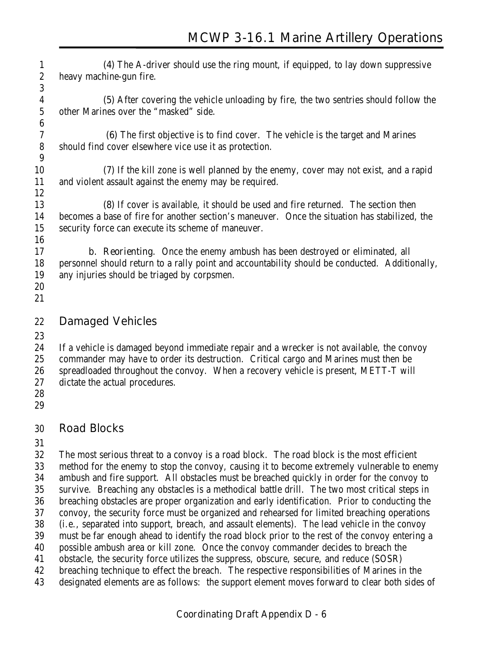**(4)** The A-driver should use the ring mount, if equipped, to lay down suppressive heavy machine-gun fire. 

**(5)** After covering the vehicle unloading by fire, the two sentries should follow the other Marines over the "masked" side.

**(6)** The first objective is to find cover. The vehicle is the target and Marines should find cover elsewhere vice use it as protection. 

**(7)** If the kill zone is well planned by the enemy, cover may not exist, and a rapid and violent assault against the enemy may be required. 

**(8)** If cover is available, it should be used and fire returned. The section then becomes a base of fire for another section's maneuver. Once the situation has stabilized, the security force can execute its scheme of maneuver.

 **b. Reorienting**. Once the enemy ambush has been destroyed or eliminated, all personnel should return to a rally point and accountability should be conducted. Additionally, any injuries should be triaged by corpsmen.

 

### **Damaged Vehicles**

 If a vehicle is damaged beyond immediate repair and a wrecker is not available, the convoy commander may have to order its destruction. Critical cargo and Marines must then be spreadloaded throughout the convoy. When a recovery vehicle is present, METT-T will dictate the actual procedures.

- 
- 

# **Road Blocks**

 The most serious threat to a convoy is a road block. The road block is the most efficient method for the enemy to stop the convoy, causing it to become extremely vulnerable to enemy ambush and fire support. All obstacles must be breached quickly in order for the convoy to survive. Breaching any obstacles is a methodical battle drill. The two most critical steps in breaching obstacles are proper organization and early identification. Prior to conducting the convoy, the security force must be organized and rehearsed for limited breaching operations (i.e., separated into support, breach, and assault elements). The lead vehicle in the convoy must be far enough ahead to identify the road block prior to the rest of the convoy entering a possible ambush area or kill zone. Once the convoy commander decides to breach the obstacle, the security force utilizes the suppress, obscure, secure, and reduce (SOSR) breaching technique to effect the breach. The respective responsibilities of Marines in the designated elements are as follows: the support element moves forward to clear both sides of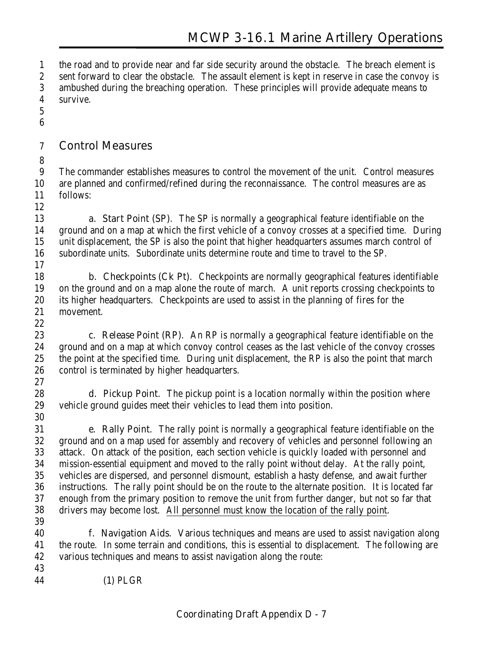the road and to provide near and far side security around the obstacle. The breach element is sent forward to clear the obstacle. The assault element is kept in reserve in case the convoy is ambushed during the breaching operation. These principles will provide adequate means to survive.

 

#### **Control Measures**

 The commander establishes measures to control the movement of the unit. Control measures are planned and confirmed/refined during the reconnaissance. The control measures are as follows:

 **a. Start Point (SP)**. The SP is normally a geographical feature identifiable on the ground and on a map at which the first vehicle of a convoy crosses at a specified time. During unit displacement, the SP is also the point that higher headquarters assumes march control of subordinate units. Subordinate units determine route and time to travel to the SP.

 **b. Checkpoints (Ck Pt)**. Checkpoints are normally geographical features identifiable on the ground and on a map alone the route of march. A unit reports crossing checkpoints to its higher headquarters. Checkpoints are used to assist in the planning of fires for the movement.

 **c. Release Point (RP)**. An RP is normally a geographical feature identifiable on the ground and on a map at which convoy control ceases as the last vehicle of the convoy crosses the point at the specified time. During unit displacement, the RP is also the point that march control is terminated by higher headquarters. 

 **d. Pickup Point**. The pickup point is a location normally within the position where vehicle ground guides meet their vehicles to lead them into position. 

 **e. Rally Point**. The rally point is normally a geographical feature identifiable on the ground and on a map used for assembly and recovery of vehicles and personnel following an attack. On attack of the position, each section vehicle is quickly loaded with personnel and mission-essential equipment and moved to the rally point without delay. At the rally point, vehicles are dispersed, and personnel dismount, establish a hasty defense, and await further instructions. The rally point should be on the route to the alternate position. It is located far enough from the primary position to remove the unit from further danger, but not so far that drivers may become lost. All personnel must know the location of the rally point.

 **f. Navigation Aids**. Various techniques and means are used to assist navigation along the route. In some terrain and conditions, this is essential to displacement. The following are various techniques and means to assist navigation along the route: 

**(1)** PLGR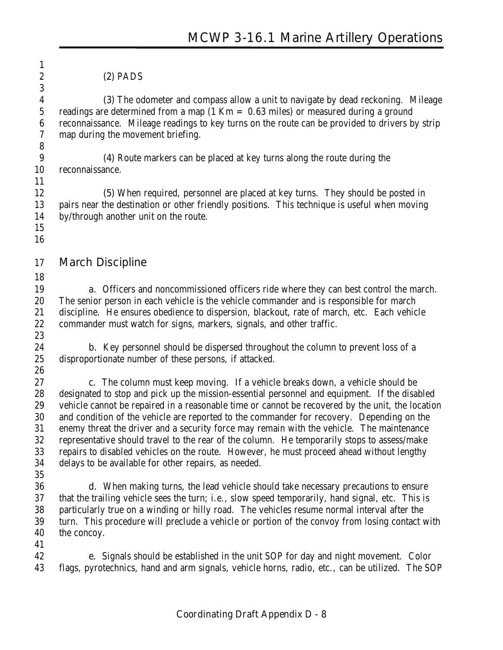| 1<br>$\boldsymbol{2}$<br>3                                             | $(2)$ PADS                                                                                                                                                                                                                                                                                                                      |
|------------------------------------------------------------------------|---------------------------------------------------------------------------------------------------------------------------------------------------------------------------------------------------------------------------------------------------------------------------------------------------------------------------------|
| $\boldsymbol{4}$<br>$\mathbf 5$<br>$\boldsymbol{6}$<br>$\sqrt{7}$<br>8 | (3) The odometer and compass allow a unit to navigate by dead reckoning. Mileage<br>readings are determined from a map $(1 \text{ Km} = 0.63 \text{ miles})$ or measured during a ground<br>reconnaissance. Mileage readings to key turns on the route can be provided to drivers by strip<br>map during the movement briefing. |
| $9\phantom{.0}$<br>10                                                  | (4) Route markers can be placed at key turns along the route during the<br>reconnaissance.                                                                                                                                                                                                                                      |
| 11                                                                     |                                                                                                                                                                                                                                                                                                                                 |
| 12<br>13<br>14                                                         | (5) When required, personnel are placed at key turns. They should be posted in<br>pairs near the destination or other friendly positions. This technique is useful when moving<br>by/through another unit on the route.                                                                                                         |
| 15<br>16                                                               |                                                                                                                                                                                                                                                                                                                                 |
| 17                                                                     | <b>March Discipline</b>                                                                                                                                                                                                                                                                                                         |
| 18                                                                     |                                                                                                                                                                                                                                                                                                                                 |
| 19<br>20                                                               | <b>a.</b> Officers and noncommissioned officers ride where they can best control the march.<br>The senior person in each vehicle is the vehicle commander and is responsible for march                                                                                                                                          |
| 21                                                                     | discipline. He ensures obedience to dispersion, blackout, rate of march, etc. Each vehicle                                                                                                                                                                                                                                      |
| 22                                                                     | commander must watch for signs, markers, signals, and other traffic.                                                                                                                                                                                                                                                            |
| 23                                                                     |                                                                                                                                                                                                                                                                                                                                 |
| 24                                                                     | <b>b.</b> Key personnel should be dispersed throughout the column to prevent loss of a                                                                                                                                                                                                                                          |
| 25<br>26                                                               | disproportionate number of these persons, if attacked.                                                                                                                                                                                                                                                                          |
| 27                                                                     | c. The column must keep moving. If a vehicle breaks down, a vehicle should be                                                                                                                                                                                                                                                   |
| 28                                                                     | designated to stop and pick up the mission-essential personnel and equipment. If the disabled                                                                                                                                                                                                                                   |
| 29                                                                     | vehicle cannot be repaired in a reasonable time or cannot be recovered by the unit, the location                                                                                                                                                                                                                                |
| 30                                                                     | and condition of the vehicle are reported to the commander for recovery. Depending on the                                                                                                                                                                                                                                       |
| 31                                                                     | enemy threat the driver and a security force may remain with the vehicle. The maintenance                                                                                                                                                                                                                                       |
| $32\,$                                                                 | representative should travel to the rear of the column. He temporarily stops to assess/make                                                                                                                                                                                                                                     |
| 33                                                                     | repairs to disabled vehicles on the route. However, he must proceed ahead without lengthy                                                                                                                                                                                                                                       |
| 34                                                                     | delays to be available for other repairs, as needed.                                                                                                                                                                                                                                                                            |
| 35                                                                     |                                                                                                                                                                                                                                                                                                                                 |
| 36<br>37                                                               | <b>d.</b> When making turns, the lead vehicle should take necessary precautions to ensure<br>that the trailing vehicle sees the turn; i.e., slow speed temporarily, hand signal, etc. This is                                                                                                                                   |
| 38                                                                     | particularly true on a winding or hilly road. The vehicles resume normal interval after the                                                                                                                                                                                                                                     |
| 39                                                                     | turn. This procedure will preclude a vehicle or portion of the convoy from losing contact with                                                                                                                                                                                                                                  |
| 40                                                                     | the concoy.                                                                                                                                                                                                                                                                                                                     |
| 41                                                                     |                                                                                                                                                                                                                                                                                                                                 |
| 42<br>43                                                               | <b>e.</b> Signals should be established in the unit SOP for day and night movement. Color<br>flags, pyrotechnics, hand and arm signals, vehicle horns, radio, etc., can be utilized. The SOP                                                                                                                                    |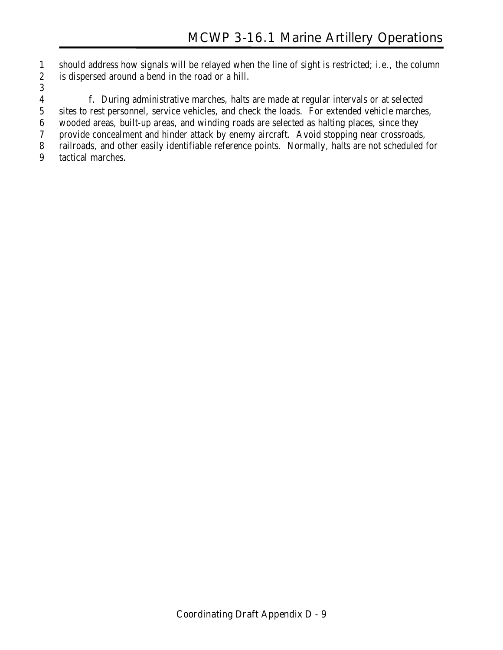should address how signals will be relayed when the line of sight is restricted; i.e., the column is dispersed around a bend in the road or a hill.

**f.** During administrative marches, halts are made at regular intervals or at selected

sites to rest personnel, service vehicles, and check the loads. For extended vehicle marches,

wooded areas, built-up areas, and winding roads are selected as halting places, since they

provide concealment and hinder attack by enemy aircraft. Avoid stopping near crossroads,

railroads, and other easily identifiable reference points. Normally, halts are not scheduled for

tactical marches.